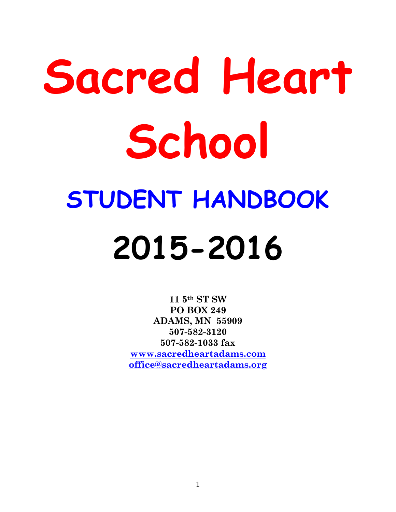# **Sacred Heart School STUDENT HANDBOOK 2015-2016**

**11 5th ST SW PO BOX 249 ADAMS, MN 55909 507-582-3120 507-582-1033 fax [www.sacredheartadams.com](http://www.sacredheartadams.com/) [office@sacredheartadams.org](mailto:office@sacredheartadams.org)**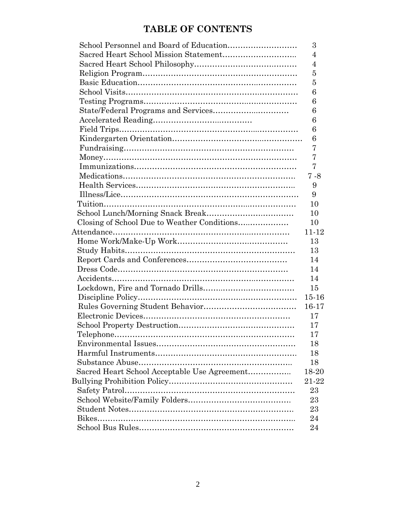# **TABLE OF CONTENTS**

|                                              | 3              |
|----------------------------------------------|----------------|
|                                              | $\overline{4}$ |
|                                              | 4              |
|                                              | 5              |
|                                              | 5              |
|                                              | 6              |
|                                              | 6              |
|                                              | 6              |
|                                              | 6              |
|                                              | 6              |
|                                              | 6              |
|                                              | 7              |
|                                              | 7              |
|                                              | 7              |
|                                              | $7 - 8$        |
|                                              | 9              |
|                                              | 9              |
|                                              | 10             |
|                                              | 10             |
| Closing of School Due to Weather Conditions  | 10             |
|                                              | $11 - 12$      |
|                                              | 13             |
|                                              | 13             |
|                                              | 14             |
|                                              | 14             |
|                                              | 14             |
|                                              | 15             |
|                                              | $15 - 16$      |
|                                              |                |
|                                              | 16-17          |
|                                              | 17             |
|                                              | 17             |
|                                              | 17             |
|                                              | 18             |
|                                              | 18             |
|                                              | 18             |
| Sacred Heart School Acceptable Use Agreement | 18-20          |
|                                              | 21-22          |
|                                              | 23             |
|                                              | 23             |
|                                              | 23             |
| Bikes                                        | 24             |
|                                              | 24             |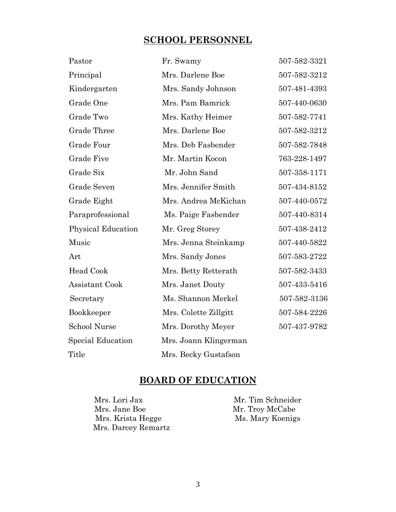### **SCHOOL PERSONNEL**

| Pastor                    | Fr. Swamy             | 507-582-3321 |
|---------------------------|-----------------------|--------------|
| Principal                 | Mrs. Darlene Boe      | 507-582-3212 |
| Kindergarten              | Mrs. Sandy Johnson    | 507-481-4393 |
| Grade One                 | Mrs. Pam Bamrick      | 507-440-0630 |
| Grade Two                 | Mrs. Kathy Heimer     | 507-582-7741 |
| <b>Grade Three</b>        | Mrs. Darlene Boe      | 507-582-3212 |
| <b>Grade Four</b>         | Mrs. Deb Fasbender    | 507-582-7848 |
| <b>Grade Five</b>         | Mr. Martin Kocon      | 763-228-1497 |
| Grade Six                 | Mr. John Sand         | 507-358-1171 |
| <b>Grade Seven</b>        | Mrs. Jennifer Smith   | 507-434-8152 |
| Grade Eight               | Mrs. Andrea McKichan  | 507-440-0572 |
| Paraprofessional          | Ms. Paige Fasbender   | 507-440-8314 |
| <b>Physical Education</b> | Mr. Greg Storey       | 507-438-2412 |
| Music                     | Mrs. Jenna Steinkamp  | 507-440-5822 |
| Art                       | Mrs. Sandy Jones      | 507-583-2722 |
| Head Cook                 | Mrs. Betty Retterath  | 507-582-3433 |
| Assistant Cook            | Mrs. Janet Douty      | 507-433-5416 |
| Secretary                 | Ms. Shannon Merkel    | 507-582-3136 |
| Bookkeeper                | Mrs. Colette Zillgitt | 507-584-2226 |
| <b>School Nurse</b>       | Mrs. Dorothy Meyer    | 507-437-9782 |
| Special Education         | Mrs. Joann Klingerman |              |
| Title                     | Mrs. Becky Gustafson  |              |

# **BOARD OF EDUCATION**

Mrs. Lori Jax Mr. Tim Schneider Mrs. Jane Boe Mr. Troy McCabe Mrs. Krista Hegge Ms. Mary Koenigs Mrs. Darcey Remartz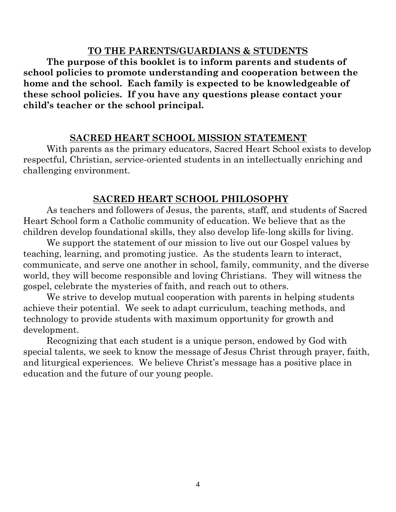### **TO THE PARENTS/GUARDIANS & STUDENTS**

**The purpose of this booklet is to inform parents and students of school policies to promote understanding and cooperation between the home and the school. Each family is expected to be knowledgeable of these school policies. If you have any questions please contact your child's teacher or the school principal.**

### **SACRED HEART SCHOOL MISSION STATEMENT**

With parents as the primary educators, Sacred Heart School exists to develop respectful, Christian, service-oriented students in an intellectually enriching and challenging environment.

### **SACRED HEART SCHOOL PHILOSOPHY**

As teachers and followers of Jesus, the parents, staff, and students of Sacred Heart School form a Catholic community of education. We believe that as the children develop foundational skills, they also develop life-long skills for living.

We support the statement of our mission to live out our Gospel values by teaching, learning, and promoting justice. As the students learn to interact, communicate, and serve one another in school, family, community, and the diverse world, they will become responsible and loving Christians. They will witness the gospel, celebrate the mysteries of faith, and reach out to others.

We strive to develop mutual cooperation with parents in helping students achieve their potential. We seek to adapt curriculum, teaching methods, and technology to provide students with maximum opportunity for growth and development.

Recognizing that each student is a unique person, endowed by God with special talents, we seek to know the message of Jesus Christ through prayer, faith, and liturgical experiences. We believe Christ's message has a positive place in education and the future of our young people.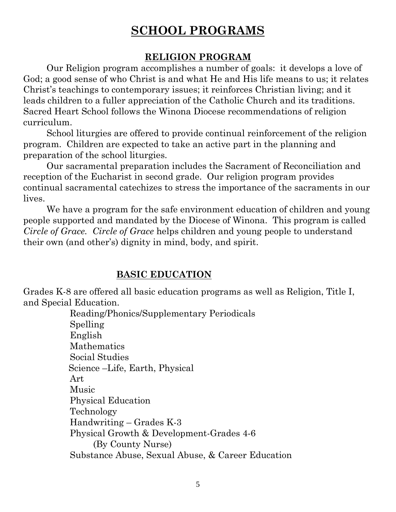# **SCHOOL PROGRAMS**

### **RELIGION PROGRAM**

Our Religion program accomplishes a number of goals: it develops a love of God; a good sense of who Christ is and what He and His life means to us; it relates Christ's teachings to contemporary issues; it reinforces Christian living; and it leads children to a fuller appreciation of the Catholic Church and its traditions. Sacred Heart School follows the Winona Diocese recommendations of religion curriculum.

School liturgies are offered to provide continual reinforcement of the religion program. Children are expected to take an active part in the planning and preparation of the school liturgies.

Our sacramental preparation includes the Sacrament of Reconciliation and reception of the Eucharist in second grade. Our religion program provides continual sacramental catechizes to stress the importance of the sacraments in our lives.

We have a program for the safe environment education of children and young people supported and mandated by the Diocese of Winona. This program is called *Circle of Grace. Circle of Grace* helps children and young people to understand their own (and other's) dignity in mind, body, and spirit.

# **BASIC EDUCATION**

Grades K-8 are offered all basic education programs as well as Religion, Title I, and Special Education.

> Reading/Phonics/Supplementary Periodicals Spelling English Mathematics Social Studies Science –Life, Earth, Physical Art Music Physical Education Technology Handwriting – Grades K-3 Physical Growth & Development-Grades 4-6 (By County Nurse) Substance Abuse, Sexual Abuse, & Career Education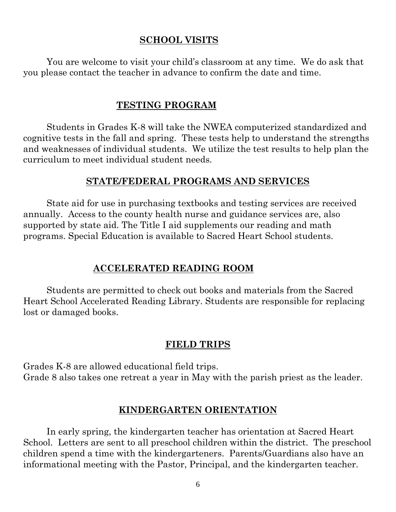### **SCHOOL VISITS**

You are welcome to visit your child's classroom at any time. We do ask that you please contact the teacher in advance to confirm the date and time.

### **TESTING PROGRAM**

Students in Grades K-8 will take the NWEA computerized standardized and cognitive tests in the fall and spring. These tests help to understand the strengths and weaknesses of individual students. We utilize the test results to help plan the curriculum to meet individual student needs.

### **STATE/FEDERAL PROGRAMS AND SERVICES**

State aid for use in purchasing textbooks and testing services are received annually. Access to the county health nurse and guidance services are, also supported by state aid. The Title I aid supplements our reading and math programs. Special Education is available to Sacred Heart School students.

### **ACCELERATED READING ROOM**

Students are permitted to check out books and materials from the Sacred Heart School Accelerated Reading Library. Students are responsible for replacing lost or damaged books.

### **FIELD TRIPS**

Grades K-8 are allowed educational field trips. Grade 8 also takes one retreat a year in May with the parish priest as the leader.

### **KINDERGARTEN ORIENTATION**

In early spring, the kindergarten teacher has orientation at Sacred Heart School. Letters are sent to all preschool children within the district. The preschool children spend a time with the kindergarteners. Parents/Guardians also have an informational meeting with the Pastor, Principal, and the kindergarten teacher.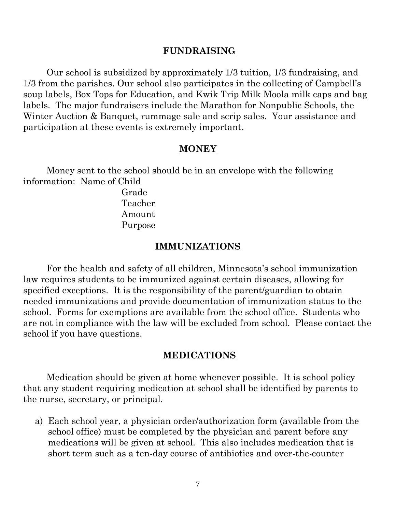### **FUNDRAISING**

Our school is subsidized by approximately 1/3 tuition, 1/3 fundraising, and 1/3 from the parishes. Our school also participates in the collecting of Campbell's soup labels, Box Tops for Education, and Kwik Trip Milk Moola milk caps and bag labels. The major fundraisers include the Marathon for Nonpublic Schools, the Winter Auction & Banquet, rummage sale and scrip sales. Your assistance and participation at these events is extremely important.

### **MONEY**

Money sent to the school should be in an envelope with the following information: Name of Child

> Grade Teacher Amount Purpose

### **IMMUNIZATIONS**

For the health and safety of all children, Minnesota's school immunization law requires students to be immunized against certain diseases, allowing for specified exceptions. It is the responsibility of the parent/guardian to obtain needed immunizations and provide documentation of immunization status to the school. Forms for exemptions are available from the school office. Students who are not in compliance with the law will be excluded from school. Please contact the school if you have questions.

### **MEDICATIONS**

Medication should be given at home whenever possible. It is school policy that any student requiring medication at school shall be identified by parents to the nurse, secretary, or principal.

a) Each school year, a physician order/authorization form (available from the school office) must be completed by the physician and parent before any medications will be given at school. This also includes medication that is short term such as a ten-day course of antibiotics and over-the-counter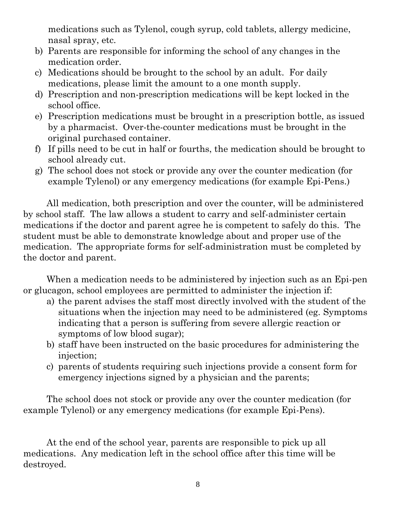medications such as Tylenol, cough syrup, cold tablets, allergy medicine, nasal spray, etc.

- b) Parents are responsible for informing the school of any changes in the medication order.
- c) Medications should be brought to the school by an adult. For daily medications, please limit the amount to a one month supply.
- d) Prescription and non-prescription medications will be kept locked in the school office.
- e) Prescription medications must be brought in a prescription bottle, as issued by a pharmacist. Over-the-counter medications must be brought in the original purchased container.
- f) If pills need to be cut in half or fourths, the medication should be brought to school already cut.
- g) The school does not stock or provide any over the counter medication (for example Tylenol) or any emergency medications (for example Epi-Pens.)

All medication, both prescription and over the counter, will be administered by school staff. The law allows a student to carry and self-administer certain medications if the doctor and parent agree he is competent to safely do this. The student must be able to demonstrate knowledge about and proper use of the medication. The appropriate forms for self-administration must be completed by the doctor and parent.

When a medication needs to be administered by injection such as an Epi-pen or glucagon, school employees are permitted to administer the injection if:

- a) the parent advises the staff most directly involved with the student of the situations when the injection may need to be administered (eg. Symptoms indicating that a person is suffering from severe allergic reaction or symptoms of low blood sugar);
- b) staff have been instructed on the basic procedures for administering the injection;
- c) parents of students requiring such injections provide a consent form for emergency injections signed by a physician and the parents;

The school does not stock or provide any over the counter medication (for example Tylenol) or any emergency medications (for example Epi-Pens).

At the end of the school year, parents are responsible to pick up all medications. Any medication left in the school office after this time will be destroyed.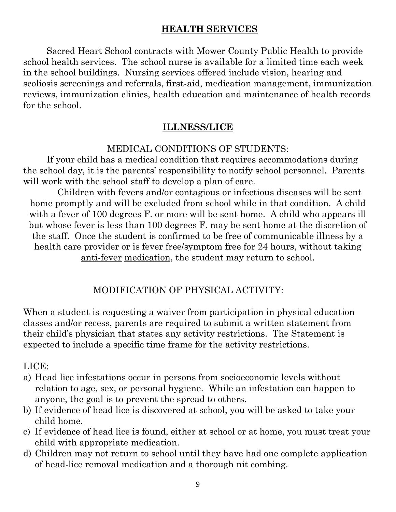# **HEALTH SERVICES**

Sacred Heart School contracts with Mower County Public Health to provide school health services. The school nurse is available for a limited time each week in the school buildings. Nursing services offered include vision, hearing and scoliosis screenings and referrals, first-aid, medication management, immunization reviews, immunization clinics, health education and maintenance of health records for the school.

### **ILLNESS/LICE**

## MEDICAL CONDITIONS OF STUDENTS:

If your child has a medical condition that requires accommodations during the school day, it is the parents' responsibility to notify school personnel. Parents will work with the school staff to develop a plan of care.

Children with fevers and/or contagious or infectious diseases will be sent home promptly and will be excluded from school while in that condition. A child with a fever of 100 degrees F, or more will be sent home. A child who appears ill but whose fever is less than 100 degrees F. may be sent home at the discretion of the staff. Once the student is confirmed to be free of communicable illness by a health care provider or is fever free/symptom free for 24 hours, without taking anti-fever medication, the student may return to school.

# MODIFICATION OF PHYSICAL ACTIVITY:

When a student is requesting a waiver from participation in physical education classes and/or recess, parents are required to submit a written statement from their child's physician that states any activity restrictions. The Statement is expected to include a specific time frame for the activity restrictions.

### LICE:

- a) Head lice infestations occur in persons from socioeconomic levels without relation to age, sex, or personal hygiene. While an infestation can happen to anyone, the goal is to prevent the spread to others.
- b) If evidence of head lice is discovered at school, you will be asked to take your child home.
- c) If evidence of head lice is found, either at school or at home, you must treat your child with appropriate medication.
- d) Children may not return to school until they have had one complete application of head-lice removal medication and a thorough nit combing.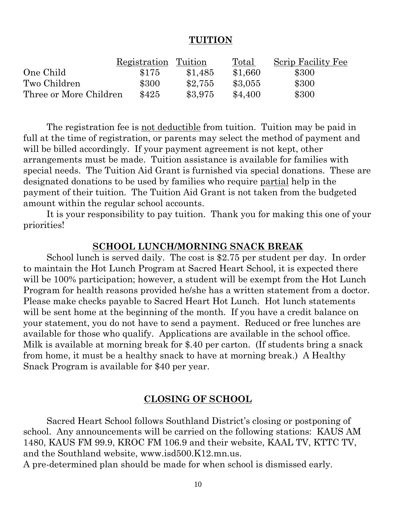### **TUITION**

|                        | Registration Tuition |         | Total   | Scrip Facility Fee |
|------------------------|----------------------|---------|---------|--------------------|
| One Child              | \$175                | \$1.485 | \$1.660 | \$300              |
| Two Children           | \$300                | \$2,755 | \$3,055 | \$300              |
| Three or More Children | \$425                | \$3,975 | \$4.400 | \$300              |

The registration fee is not deductible from tuition. Tuition may be paid in full at the time of registration, or parents may select the method of payment and will be billed accordingly. If your payment agreement is not kept, other arrangements must be made. Tuition assistance is available for families with special needs. The Tuition Aid Grant is furnished via special donations. These are designated donations to be used by families who require partial help in the payment of their tuition. The Tuition Aid Grant is not taken from the budgeted amount within the regular school accounts.

It is your responsibility to pay tuition. Thank you for making this one of your priorities!

### **SCHOOL LUNCH/MORNING SNACK BREAK**

School lunch is served daily. The cost is \$2.75 per student per day. In order to maintain the Hot Lunch Program at Sacred Heart School, it is expected there will be 100% participation; however, a student will be exempt from the Hot Lunch Program for health reasons provided he/she has a written statement from a doctor. Please make checks payable to Sacred Heart Hot Lunch. Hot lunch statements will be sent home at the beginning of the month. If you have a credit balance on your statement, you do not have to send a payment. Reduced or free lunches are available for those who qualify. Applications are available in the school office. Milk is available at morning break for \$.40 per carton. (If students bring a snack from home, it must be a healthy snack to have at morning break.) A Healthy Snack Program is available for \$40 per year.

### **CLOSING OF SCHOOL**

Sacred Heart School follows Southland District's closing or postponing of school. Any announcements will be carried on the following stations: KAUS AM 1480, KAUS FM 99.9, KROC FM 106.9 and their website, KAAL TV, KTTC TV, and the Southland website, www.isd500.K12.mn.us.

A pre-determined plan should be made for when school is dismissed early.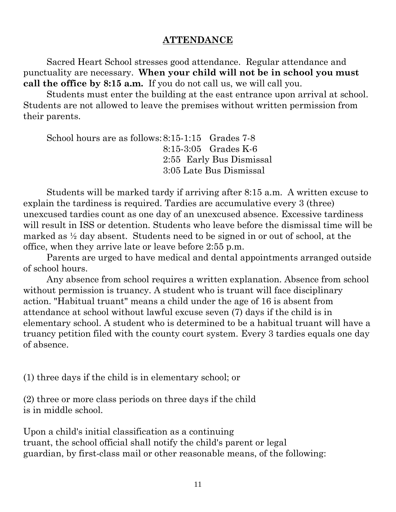### **ATTENDANCE**

Sacred Heart School stresses good attendance. Regular attendance and punctuality are necessary. **When your child will not be in school you must call the office by 8:15 a.m.** If you do not call us, we will call you.

Students must enter the building at the east entrance upon arrival at school. Students are not allowed to leave the premises without written permission from their parents.

School hours are as follows: 8:15-1:15 Grades 7-8 8:15-3:05 Grades K-6 2:55 Early Bus Dismissal 3:05 Late Bus Dismissal

Students will be marked tardy if arriving after 8:15 a.m. A written excuse to explain the tardiness is required. Tardies are accumulative every 3 (three) unexcused tardies count as one day of an unexcused absence. Excessive tardiness will result in ISS or detention. Students who leave before the dismissal time will be marked as ½ day absent. Students need to be signed in or out of school, at the office, when they arrive late or leave before 2:55 p.m.

Parents are urged to have medical and dental appointments arranged outside of school hours.

Any absence from school requires a written explanation. Absence from school without permission is truancy. A student who is truant will face disciplinary action. "Habitual truant" means a child under the age of 16 is absent from attendance at school without lawful excuse seven (7) days if the child is in elementary school. A student who is determined to be a habitual truant will have a truancy petition filed with the county court system. Every 3 tardies equals one day of absence.

(1) three days if the child is in elementary school; or

(2) three or more class periods on three days if the child is in middle school.

Upon a child's initial classification as a continuing truant, the school official shall notify the child's parent or legal guardian, by first-class mail or other reasonable means, of the following: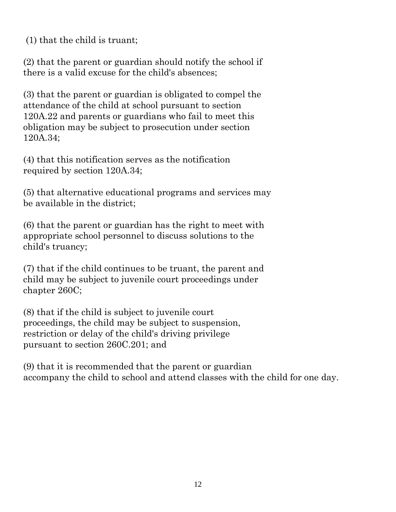(1) that the child is truant;

(2) that the parent or guardian should notify the school if there is a valid excuse for the child's absences;

(3) that the parent or guardian is obligated to compel the attendance of the child at school pursuant to section 120A.22 and parents or guardians who fail to meet this obligation may be subject to prosecution under section 120A.34;

(4) that this notification serves as the notification required by section 120A.34;

(5) that alternative educational programs and services may be available in the district;

(6) that the parent or guardian has the right to meet with appropriate school personnel to discuss solutions to the child's truancy;

(7) that if the child continues to be truant, the parent and child may be subject to juvenile court proceedings under chapter 260C;

(8) that if the child is subject to juvenile court proceedings, the child may be subject to suspension, restriction or delay of the child's driving privilege pursuant to section 260C.201; and

(9) that it is recommended that the parent or guardian accompany the child to school and attend classes with the child for one day.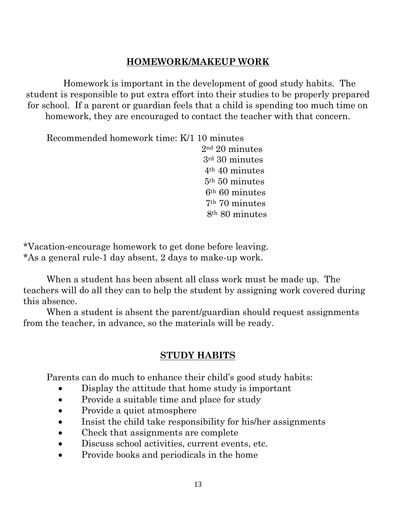# **HOMEWORK/MAKEUP WORK**

Homework is important in the development of good study habits. The student is responsible to put extra effort into their studies to be properly prepared for school. If a parent or guardian feels that a child is spending too much time on homework, they are encouraged to contact the teacher with that concern.

Recommended homework time: K/1 10 minutes nd 20 minutes rd 30 minutes th 40 minutes th 50 minutes th 60 minutes th 70 minutes th 80 minutes

\*Vacation-encourage homework to get done before leaving. \*As a general rule-1 day absent, 2 days to make-up work.

When a student has been absent all class work must be made up. The teachers will do all they can to help the student by assigning work covered during this absence.

When a student is absent the parent/guardian should request assignments from the teacher, in advance, so the materials will be ready.

### **STUDY HABITS**

Parents can do much to enhance their child's good study habits:

- Display the attitude that home study is important
- Provide a suitable time and place for study
- Provide a quiet atmosphere
- Insist the child take responsibility for his/her assignments
- Check that assignments are complete
- Discuss school activities, current events, etc.
- Provide books and periodicals in the home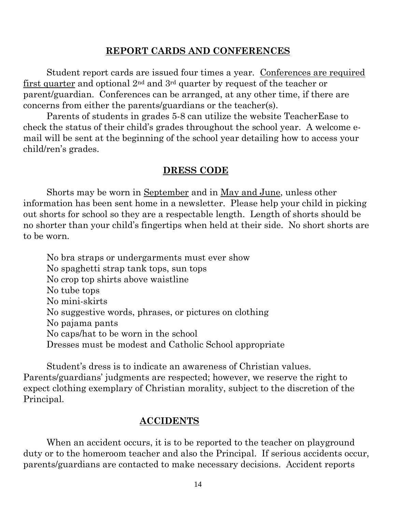### **REPORT CARDS AND CONFERENCES**

Student report cards are issued four times a year. Conferences are required first quarter and optional 2nd and 3rd quarter by request of the teacher or parent/guardian. Conferences can be arranged, at any other time, if there are concerns from either the parents/guardians or the teacher(s).

Parents of students in grades 5-8 can utilize the website TeacherEase to check the status of their child's grades throughout the school year. A welcome email will be sent at the beginning of the school year detailing how to access your child/ren's grades.

### **DRESS CODE**

Shorts may be worn in September and in May and June, unless other information has been sent home in a newsletter. Please help your child in picking out shorts for school so they are a respectable length. Length of shorts should be no shorter than your child's fingertips when held at their side. No short shorts are to be worn.

No bra straps or undergarments must ever show No spaghetti strap tank tops, sun tops No crop top shirts above waistline No tube tops No mini-skirts No suggestive words, phrases, or pictures on clothing No pajama pants No caps/hat to be worn in the school Dresses must be modest and Catholic School appropriate

Student's dress is to indicate an awareness of Christian values. Parents/guardians' judgments are respected; however, we reserve the right to expect clothing exemplary of Christian morality, subject to the discretion of the Principal.

### **ACCIDENTS**

When an accident occurs, it is to be reported to the teacher on playground duty or to the homeroom teacher and also the Principal. If serious accidents occur, parents/guardians are contacted to make necessary decisions. Accident reports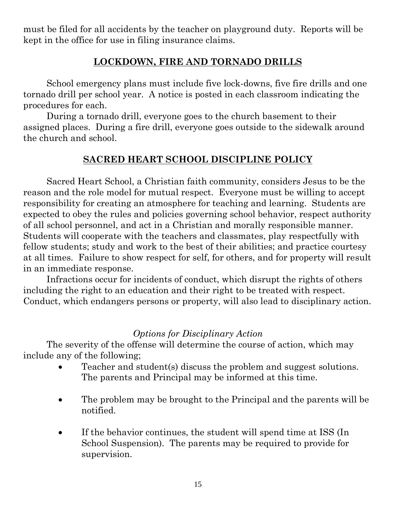must be filed for all accidents by the teacher on playground duty. Reports will be kept in the office for use in filing insurance claims.

# **LOCKDOWN, FIRE AND TORNADO DRILLS**

School emergency plans must include five lock-downs, five fire drills and one tornado drill per school year. A notice is posted in each classroom indicating the procedures for each.

During a tornado drill, everyone goes to the church basement to their assigned places. During a fire drill, everyone goes outside to the sidewalk around the church and school.

## **SACRED HEART SCHOOL DISCIPLINE POLICY**

Sacred Heart School, a Christian faith community, considers Jesus to be the reason and the role model for mutual respect. Everyone must be willing to accept responsibility for creating an atmosphere for teaching and learning. Students are expected to obey the rules and policies governing school behavior, respect authority of all school personnel, and act in a Christian and morally responsible manner. Students will cooperate with the teachers and classmates, play respectfully with fellow students; study and work to the best of their abilities; and practice courtesy at all times. Failure to show respect for self, for others, and for property will result in an immediate response.

Infractions occur for incidents of conduct, which disrupt the rights of others including the right to an education and their right to be treated with respect. Conduct, which endangers persons or property, will also lead to disciplinary action.

### *Options for Disciplinary Action*

The severity of the offense will determine the course of action, which may include any of the following;

- Teacher and student(s) discuss the problem and suggest solutions. The parents and Principal may be informed at this time.
- The problem may be brought to the Principal and the parents will be notified.
- If the behavior continues, the student will spend time at ISS (In School Suspension). The parents may be required to provide for supervision.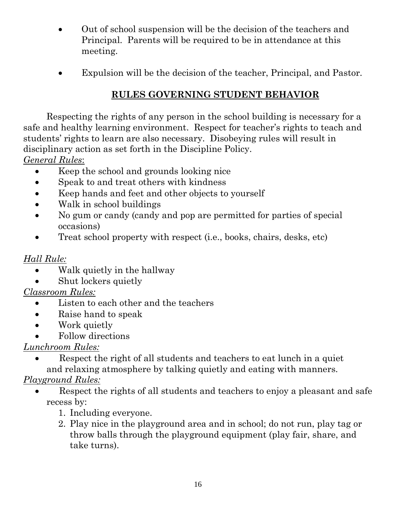- Out of school suspension will be the decision of the teachers and Principal. Parents will be required to be in attendance at this meeting.
- Expulsion will be the decision of the teacher, Principal, and Pastor.

# **RULES GOVERNING STUDENT BEHAVIOR**

Respecting the rights of any person in the school building is necessary for a safe and healthy learning environment. Respect for teacher's rights to teach and students' rights to learn are also necessary. Disobeying rules will result in disciplinary action as set forth in the Discipline Policy. *General Rules*:

- Keep the school and grounds looking nice
- Speak to and treat others with kindness
- Keep hands and feet and other objects to yourself
- Walk in school buildings
- No gum or candy (candy and pop are permitted for parties of special occasions)
- Treat school property with respect (i.e., books, chairs, desks, etc)

# *Hall Rule:*

- Walk quietly in the hallway
- Shut lockers quietly

# *Classroom Rules:*

- Listen to each other and the teachers
- Raise hand to speak
- Work quietly
- Follow directions

# *Lunchroom Rules:*

 Respect the right of all students and teachers to eat lunch in a quiet and relaxing atmosphere by talking quietly and eating with manners.

# *Playground Rules:*

- Respect the rights of all students and teachers to enjoy a pleasant and safe recess by:
	- 1. Including everyone.
	- 2. Play nice in the playground area and in school; do not run, play tag or throw balls through the playground equipment (play fair, share, and take turns).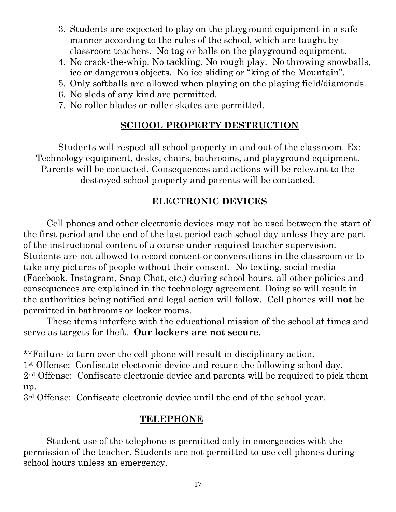- 3. Students are expected to play on the playground equipment in a safe manner according to the rules of the school, which are taught by classroom teachers. No tag or balls on the playground equipment.
- 4. No crack-the-whip. No tackling. No rough play. No throwing snowballs, ice or dangerous objects. No ice sliding or "king of the Mountain".
- 5. Only softballs are allowed when playing on the playing field/diamonds.
- 6. No sleds of any kind are permitted.
- 7. No roller blades or roller skates are permitted.

# **SCHOOL PROPERTY DESTRUCTION**

Students will respect all school property in and out of the classroom. Ex: Technology equipment, desks, chairs, bathrooms, and playground equipment. Parents will be contacted. Consequences and actions will be relevant to the destroyed school property and parents will be contacted.

# **ELECTRONIC DEVICES**

Cell phones and other electronic devices may not be used between the start of the first period and the end of the last period each school day unless they are part of the instructional content of a course under required teacher supervision. Students are not allowed to record content or conversations in the classroom or to take any pictures of people without their consent. No texting, social media (Facebook, Instagram, Snap Chat, etc.) during school hours, all other policies and consequences are explained in the technology agreement. Doing so will result in the authorities being notified and legal action will follow. Cell phones will **not** be permitted in bathrooms or locker rooms.

These items interfere with the educational mission of the school at times and serve as targets for theft. **Our lockers are not secure.**

\*\*Failure to turn over the cell phone will result in disciplinary action.

1st Offense: Confiscate electronic device and return the following school day. 2nd Offense: Confiscate electronic device and parents will be required to pick them up.

 $3<sup>rd</sup>$  Offense: Confiscate electronic device until the end of the school year.

# **TELEPHONE**

Student use of the telephone is permitted only in emergencies with the permission of the teacher. Students are not permitted to use cell phones during school hours unless an emergency.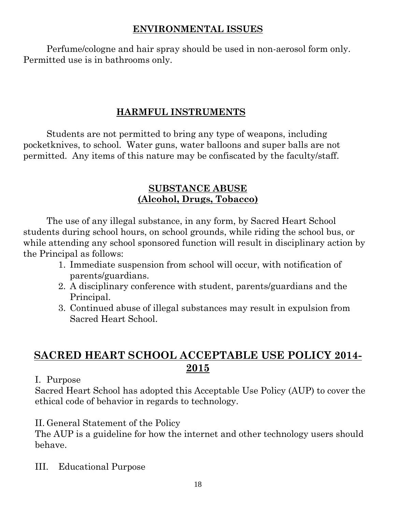### **ENVIRONMENTAL ISSUES**

Perfume/cologne and hair spray should be used in non-aerosol form only. Permitted use is in bathrooms only.

# **HARMFUL INSTRUMENTS**

Students are not permitted to bring any type of weapons, including pocketknives, to school. Water guns, water balloons and super balls are not permitted. Any items of this nature may be confiscated by the faculty/staff.

### **SUBSTANCE ABUSE (Alcohol, Drugs, Tobacco)**

The use of any illegal substance, in any form, by Sacred Heart School students during school hours, on school grounds, while riding the school bus, or while attending any school sponsored function will result in disciplinary action by the Principal as follows:

- 1. Immediate suspension from school will occur, with notification of parents/guardians.
- 2. A disciplinary conference with student, parents/guardians and the Principal.
- 3. Continued abuse of illegal substances may result in expulsion from Sacred Heart School.

# **SACRED HEART SCHOOL ACCEPTABLE USE POLICY 2014- 2015**

### I. Purpose

Sacred Heart School has adopted this Acceptable Use Policy (AUP) to cover the ethical code of behavior in regards to technology.

II. General Statement of the Policy

The AUP is a guideline for how the internet and other technology users should behave.

III. Educational Purpose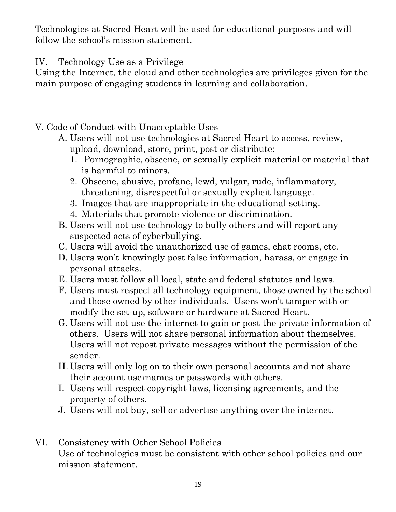Technologies at Sacred Heart will be used for educational purposes and will follow the school's mission statement.

IV. Technology Use as a Privilege

Using the Internet, the cloud and other technologies are privileges given for the main purpose of engaging students in learning and collaboration.

# V. Code of Conduct with Unacceptable Uses

- A. Users will not use technologies at Sacred Heart to access, review, upload, download, store, print, post or distribute:
	- 1. Pornographic, obscene, or sexually explicit material or material that is harmful to minors.
	- 2. Obscene, abusive, profane, lewd, vulgar, rude, inflammatory, threatening, disrespectful or sexually explicit language.
	- 3. Images that are inappropriate in the educational setting.
	- 4. Materials that promote violence or discrimination.
- B. Users will not use technology to bully others and will report any suspected acts of cyberbullying.
- C. Users will avoid the unauthorized use of games, chat rooms, etc.
- D. Users won't knowingly post false information, harass, or engage in personal attacks.
- E. Users must follow all local, state and federal statutes and laws.
- F. Users must respect all technology equipment, those owned by the school and those owned by other individuals. Users won't tamper with or modify the set-up, software or hardware at Sacred Heart.
- G. Users will not use the internet to gain or post the private information of others. Users will not share personal information about themselves. Users will not repost private messages without the permission of the sender.
- H. Users will only log on to their own personal accounts and not share their account usernames or passwords with others.
- I. Users will respect copyright laws, licensing agreements, and the property of others.
- J. Users will not buy, sell or advertise anything over the internet.
- VI. Consistency with Other School Policies Use of technologies must be consistent with other school policies and our mission statement.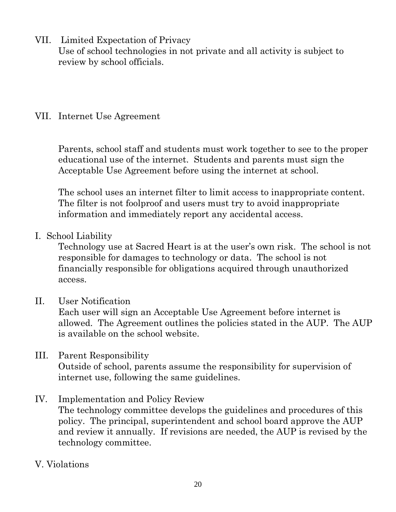VII. Limited Expectation of Privacy

Use of school technologies in not private and all activity is subject to review by school officials.

# VII. Internet Use Agreement

Parents, school staff and students must work together to see to the proper educational use of the internet. Students and parents must sign the Acceptable Use Agreement before using the internet at school.

The school uses an internet filter to limit access to inappropriate content. The filter is not foolproof and users must try to avoid inappropriate information and immediately report any accidental access.

I. School Liability

Technology use at Sacred Heart is at the user's own risk. The school is not responsible for damages to technology or data. The school is not financially responsible for obligations acquired through unauthorized access.

II. User Notification

Each user will sign an Acceptable Use Agreement before internet is allowed. The Agreement outlines the policies stated in the AUP. The AUP is available on the school website.

### III. Parent Responsibility

Outside of school, parents assume the responsibility for supervision of internet use, following the same guidelines.

IV. Implementation and Policy Review

The technology committee develops the guidelines and procedures of this policy. The principal, superintendent and school board approve the AUP and review it annually. If revisions are needed, the AUP is revised by the technology committee.

V. Violations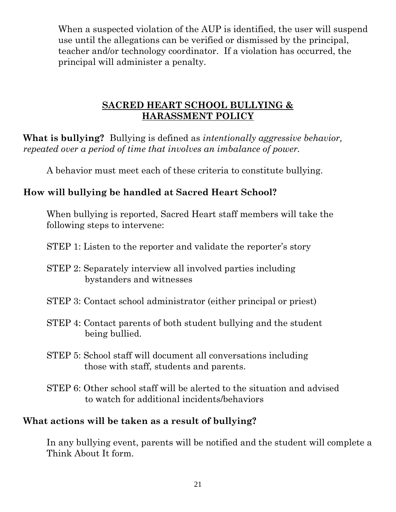When a suspected violation of the AUP is identified, the user will suspend use until the allegations can be verified or dismissed by the principal, teacher and/or technology coordinator. If a violation has occurred, the principal will administer a penalty.

### **SACRED HEART SCHOOL BULLYING & HARASSMENT POLICY**

**What is bullying?** Bullying is defined as *intentionally aggressive behavior, repeated over a period of time that involves an imbalance of power.*

A behavior must meet each of these criteria to constitute bullying.

## **How will bullying be handled at Sacred Heart School?**

When bullying is reported, Sacred Heart staff members will take the following steps to intervene:

- STEP 1: Listen to the reporter and validate the reporter's story
- STEP 2: Separately interview all involved parties including bystanders and witnesses
- STEP 3: Contact school administrator (either principal or priest)
- STEP 4: Contact parents of both student bullying and the student being bullied.
- STEP 5: School staff will document all conversations including those with staff, students and parents.
- STEP 6: Other school staff will be alerted to the situation and advised to watch for additional incidents/behaviors

# **What actions will be taken as a result of bullying?**

In any bullying event, parents will be notified and the student will complete a Think About It form.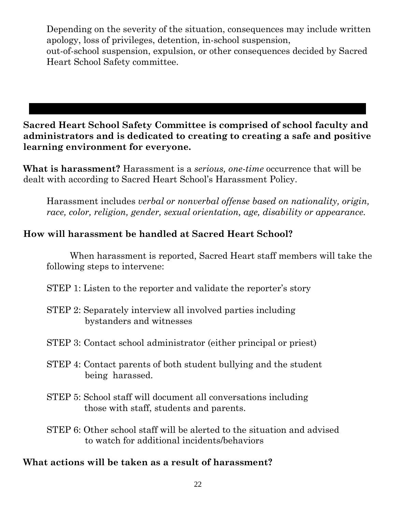Depending on the severity of the situation, consequences may include written apology, loss of privileges, detention, in-school suspension,

out-of-school suspension, expulsion, or other consequences decided by Sacred Heart School Safety committee.

**Sacred Heart School Safety Committee is comprised of school faculty and administrators and is dedicated to creating to creating a safe and positive learning environment for everyone.**

**What is harassment?** Harassment is a *serious, one-time* occurrence that will be dealt with according to Sacred Heart School's Harassment Policy.

Harassment includes *verbal or nonverbal offense based on nationality, origin, race, color, religion, gender, sexual orientation, age, disability or appearance.*

# **How will harassment be handled at Sacred Heart School?**

When harassment is reported, Sacred Heart staff members will take the following steps to intervene:

- STEP 1: Listen to the reporter and validate the reporter's story
- STEP 2: Separately interview all involved parties including bystanders and witnesses
- STEP 3: Contact school administrator (either principal or priest)
- STEP 4: Contact parents of both student bullying and the student being harassed.
- STEP 5: School staff will document all conversations including those with staff, students and parents.
- STEP 6: Other school staff will be alerted to the situation and advised to watch for additional incidents/behaviors

# **What actions will be taken as a result of harassment?**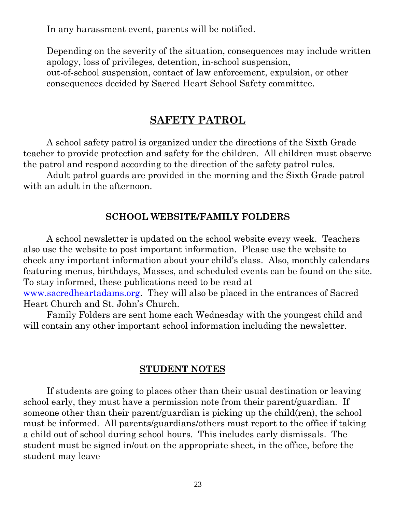In any harassment event, parents will be notified.

Depending on the severity of the situation, consequences may include written apology, loss of privileges, detention, in-school suspension, out-of-school suspension, contact of law enforcement, expulsion, or other consequences decided by Sacred Heart School Safety committee.

# **SAFETY PATROL**

A school safety patrol is organized under the directions of the Sixth Grade teacher to provide protection and safety for the children. All children must observe the patrol and respond according to the direction of the safety patrol rules.

Adult patrol guards are provided in the morning and the Sixth Grade patrol with an adult in the afternoon.

### **SCHOOL WEBSITE/FAMILY FOLDERS**

A school newsletter is updated on the school website every week. Teachers also use the website to post important information. Please use the website to check any important information about your child's class. Also, monthly calendars featuring menus, birthdays, Masses, and scheduled events can be found on the site. To stay informed, these publications need to be read at [www.sacredheartadams.org.](http://www.sacredheartadams.org/) They will also be placed in the entrances of Sacred Heart Church and St. John's Church.

Family Folders are sent home each Wednesday with the youngest child and will contain any other important school information including the newsletter.

### **STUDENT NOTES**

If students are going to places other than their usual destination or leaving school early, they must have a permission note from their parent/guardian. If someone other than their parent/guardian is picking up the child(ren), the school must be informed. All parents/guardians/others must report to the office if taking a child out of school during school hours. This includes early dismissals. The student must be signed in/out on the appropriate sheet, in the office, before the student may leave